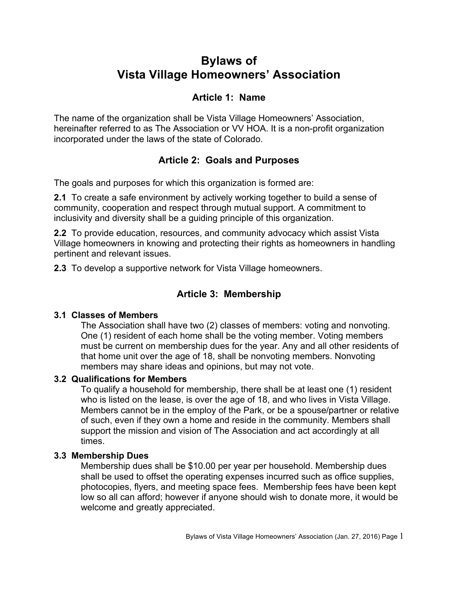# **Bylaws of Vista Village Homeowners' Association**

# **Article 1: Name**

The name of the organization shall be Vista Village Homeowners' Association, hereinafter referred to as The Association or VV HOA. It is a non-profit organization incorporated under the laws of the state of Colorado.

# **Article 2: Goals and Purposes**

The goals and purposes for which this organization is formed are:

**2.1** To create a safe environment by actively working together to build a sense of community, cooperation and respect through mutual support. A commitment to inclusivity and diversity shall be a guiding principle of this organization.

**2.2** To provide education, resources, and community advocacy which assist Vista Village homeowners in knowing and protecting their rights as homeowners in handling pertinent and relevant issues.

**2.3** To develop a supportive network for Vista Village homeowners.

# **Article 3: Membership**

#### **3.1 Classes of Members**

The Association shall have two (2) classes of members: voting and nonvoting. One (1) resident of each home shall be the voting member. Voting members must be current on membership dues for the year. Any and all other residents of that home unit over the age of 18, shall be nonvoting members. Nonvoting members may share ideas and opinions, but may not vote.

#### **3.2 Qualifications for Members**

To qualify a household for membership, there shall be at least one (1) resident who is listed on the lease, is over the age of 18, and who lives in Vista Village. Members cannot be in the employ of the Park, or be a spouse/partner or relative of such, even if they own a home and reside in the community. Members shall support the mission and vision of The Association and act accordingly at all times.

#### **3.3 Membership Dues**

Membership dues shall be \$10.00 per year per household. Membership dues shall be used to offset the operating expenses incurred such as office supplies, photocopies, flyers, and meeting space fees. Membership fees have been kept low so all can afford; however if anyone should wish to donate more, it would be welcome and greatly appreciated.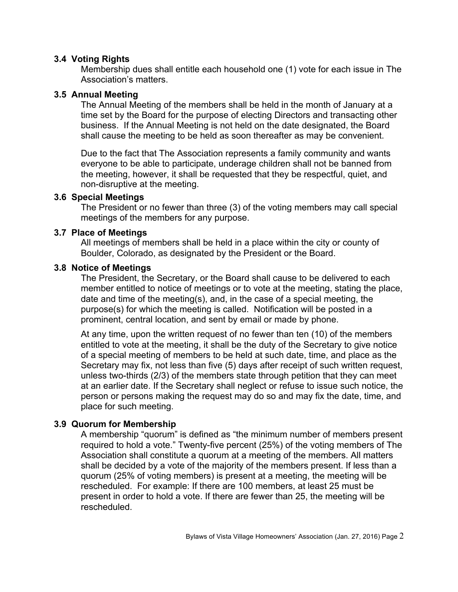#### **3.4 Voting Rights**

Membership dues shall entitle each household one (1) vote for each issue in The Association's matters.

#### **3.5 Annual Meeting**

The Annual Meeting of the members shall be held in the month of January at a time set by the Board for the purpose of electing Directors and transacting other business. If the Annual Meeting is not held on the date designated, the Board shall cause the meeting to be held as soon thereafter as may be convenient.

Due to the fact that The Association represents a family community and wants everyone to be able to participate, underage children shall not be banned from the meeting, however, it shall be requested that they be respectful, quiet, and non-disruptive at the meeting.

#### **3.6 Special Meetings**

The President or no fewer than three (3) of the voting members may call special meetings of the members for any purpose.

#### **3.7 Place of Meetings**

All meetings of members shall be held in a place within the city or county of Boulder, Colorado, as designated by the President or the Board.

#### **3.8 Notice of Meetings**

The President, the Secretary, or the Board shall cause to be delivered to each member entitled to notice of meetings or to vote at the meeting, stating the place, date and time of the meeting(s), and, in the case of a special meeting, the purpose(s) for which the meeting is called. Notification will be posted in a prominent, central location, and sent by email or made by phone.

At any time, upon the written request of no fewer than ten (10) of the members entitled to vote at the meeting, it shall be the duty of the Secretary to give notice of a special meeting of members to be held at such date, time, and place as the Secretary may fix, not less than five (5) days after receipt of such written request, unless two-thirds (2/3) of the members state through petition that they can meet at an earlier date. If the Secretary shall neglect or refuse to issue such notice, the person or persons making the request may do so and may fix the date, time, and place for such meeting.

#### **3.9 Quorum for Membership**

A membership "quorum" is defined as "the minimum number of members present required to hold a vote." Twenty-five percent (25%) of the voting members of The Association shall constitute a quorum at a meeting of the members. All matters shall be decided by a vote of the majority of the members present. If less than a quorum (25% of voting members) is present at a meeting, the meeting will be rescheduled. For example: If there are 100 members, at least 25 must be present in order to hold a vote. If there are fewer than 25, the meeting will be rescheduled.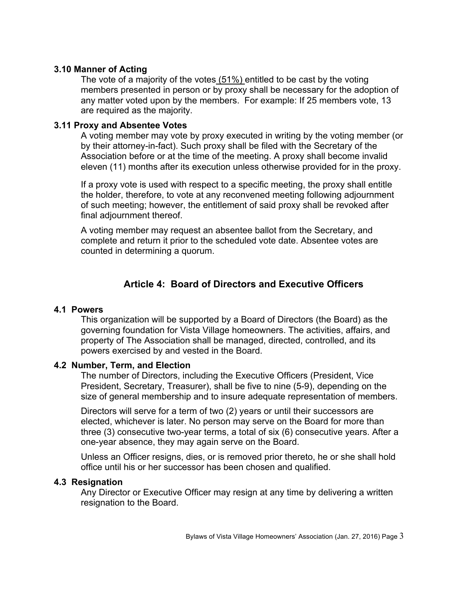#### **3.10 Manner of Acting**

The vote of a majority of the votes (51%) entitled to be cast by the voting members presented in person or by proxy shall be necessary for the adoption of any matter voted upon by the members. For example: If 25 members vote, 13 are required as the majority.

#### **3.11 Proxy and Absentee Votes**

A voting member may vote by proxy executed in writing by the voting member (or by their attorney-in-fact). Such proxy shall be filed with the Secretary of the Association before or at the time of the meeting. A proxy shall become invalid eleven (11) months after its execution unless otherwise provided for in the proxy.

If a proxy vote is used with respect to a specific meeting, the proxy shall entitle the holder, therefore, to vote at any reconvened meeting following adjournment of such meeting; however, the entitlement of said proxy shall be revoked after final adjournment thereof.

A voting member may request an absentee ballot from the Secretary, and complete and return it prior to the scheduled vote date. Absentee votes are counted in determining a quorum.

# **Article 4: Board of Directors and Executive Officers**

#### **4.1 Powers**

This organization will be supported by a Board of Directors (the Board) as the governing foundation for Vista Village homeowners. The activities, affairs, and property of The Association shall be managed, directed, controlled, and its powers exercised by and vested in the Board.

#### **4.2 Number, Term, and Election**

The number of Directors, including the Executive Officers (President, Vice President, Secretary, Treasurer), shall be five to nine (5-9), depending on the size of general membership and to insure adequate representation of members.

Directors will serve for a term of two (2) years or until their successors are elected, whichever is later. No person may serve on the Board for more than three (3) consecutive two-year terms, a total of six (6) consecutive years. After a one-year absence, they may again serve on the Board.

Unless an Officer resigns, dies, or is removed prior thereto, he or she shall hold office until his or her successor has been chosen and qualified.

#### **4.3 Resignation**

Any Director or Executive Officer may resign at any time by delivering a written resignation to the Board.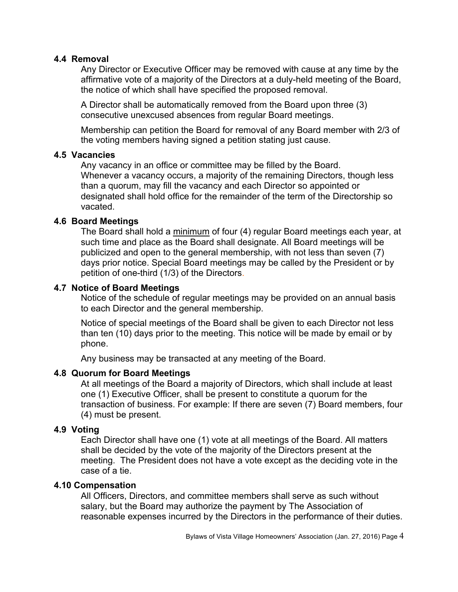#### **4.4 Removal**

Any Director or Executive Officer may be removed with cause at any time by the affirmative vote of a majority of the Directors at a duly-held meeting of the Board, the notice of which shall have specified the proposed removal.

A Director shall be automatically removed from the Board upon three (3) consecutive unexcused absences from regular Board meetings.

Membership can petition the Board for removal of any Board member with 2/3 of the voting members having signed a petition stating just cause.

#### **4.5 Vacancies**

Any vacancy in an office or committee may be filled by the Board. Whenever a vacancy occurs, a majority of the remaining Directors, though less than a quorum, may fill the vacancy and each Director so appointed or designated shall hold office for the remainder of the term of the Directorship so vacated.

### **4.6 Board Meetings**

The Board shall hold a minimum of four (4) regular Board meetings each year, at such time and place as the Board shall designate. All Board meetings will be publicized and open to the general membership, with not less than seven (7) days prior notice. Special Board meetings may be called by the President or by petition of one-third (1/3) of the Directors.

### **4.7 Notice of Board Meetings**

Notice of the schedule of regular meetings may be provided on an annual basis to each Director and the general membership.

Notice of special meetings of the Board shall be given to each Director not less than ten (10) days prior to the meeting. This notice will be made by email or by phone.

Any business may be transacted at any meeting of the Board.

### **4.8 Quorum for Board Meetings**

At all meetings of the Board a majority of Directors, which shall include at least one (1) Executive Officer, shall be present to constitute a quorum for the transaction of business. For example: If there are seven (7) Board members, four (4) must be present.

#### **4.9 Voting**

Each Director shall have one (1) vote at all meetings of the Board. All matters shall be decided by the vote of the majority of the Directors present at the meeting. The President does not have a vote except as the deciding vote in the case of a tie.

#### **4.10 Compensation**

All Officers, Directors, and committee members shall serve as such without salary, but the Board may authorize the payment by The Association of reasonable expenses incurred by the Directors in the performance of their duties.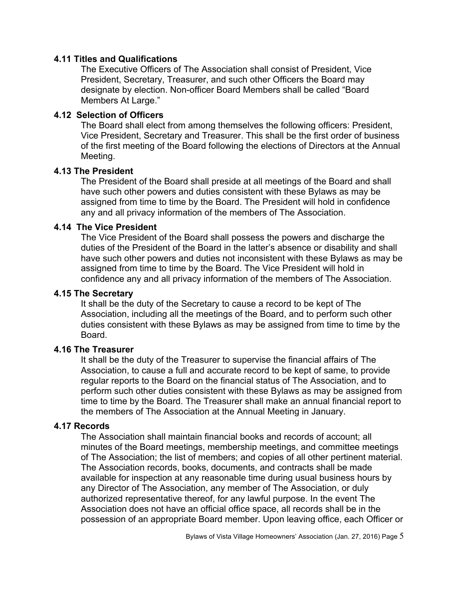#### **4.11 Titles and Qualifications**

The Executive Officers of The Association shall consist of President, Vice President, Secretary, Treasurer, and such other Officers the Board may designate by election. Non-officer Board Members shall be called "Board Members At Large."

#### **4.12 Selection of Officers**

The Board shall elect from among themselves the following officers: President, Vice President, Secretary and Treasurer. This shall be the first order of business of the first meeting of the Board following the elections of Directors at the Annual Meeting.

#### **4.13 The President**

The President of the Board shall preside at all meetings of the Board and shall have such other powers and duties consistent with these Bylaws as may be assigned from time to time by the Board. The President will hold in confidence any and all privacy information of the members of The Association.

#### **4.14 The Vice President**

The Vice President of the Board shall possess the powers and discharge the duties of the President of the Board in the latter's absence or disability and shall have such other powers and duties not inconsistent with these Bylaws as may be assigned from time to time by the Board. The Vice President will hold in confidence any and all privacy information of the members of The Association.

#### **4.15 The Secretary**

It shall be the duty of the Secretary to cause a record to be kept of The Association, including all the meetings of the Board, and to perform such other duties consistent with these Bylaws as may be assigned from time to time by the Board.

#### **4.16 The Treasurer**

It shall be the duty of the Treasurer to supervise the financial affairs of The Association, to cause a full and accurate record to be kept of same, to provide regular reports to the Board on the financial status of The Association, and to perform such other duties consistent with these Bylaws as may be assigned from time to time by the Board. The Treasurer shall make an annual financial report to the members of The Association at the Annual Meeting in January.

#### **4.17 Records**

The Association shall maintain financial books and records of account; all minutes of the Board meetings, membership meetings, and committee meetings of The Association; the list of members; and copies of all other pertinent material. The Association records, books, documents, and contracts shall be made available for inspection at any reasonable time during usual business hours by any Director of The Association, any member of The Association, or duly authorized representative thereof, for any lawful purpose. In the event The Association does not have an official office space, all records shall be in the possession of an appropriate Board member. Upon leaving office, each Officer or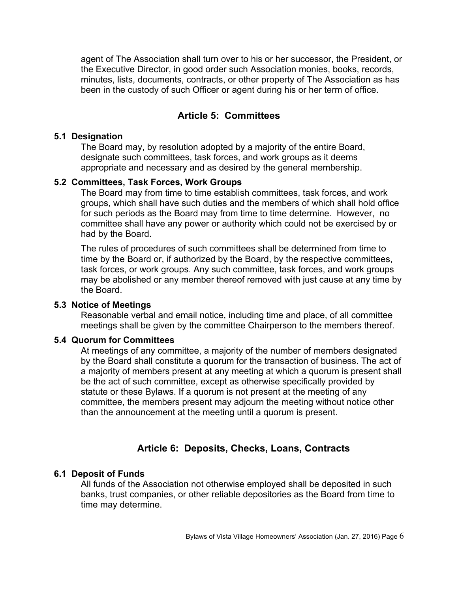agent of The Association shall turn over to his or her successor, the President, or the Executive Director, in good order such Association monies, books, records, minutes, lists, documents, contracts, or other property of The Association as has been in the custody of such Officer or agent during his or her term of office.

# **Article 5: Committees**

#### **5.1 Designation**

The Board may, by resolution adopted by a majority of the entire Board, designate such committees, task forces, and work groups as it deems appropriate and necessary and as desired by the general membership.

#### **5.2 Committees, Task Forces, Work Groups**

The Board may from time to time establish committees, task forces, and work groups, which shall have such duties and the members of which shall hold office for such periods as the Board may from time to time determine. However, no committee shall have any power or authority which could not be exercised by or had by the Board.

The rules of procedures of such committees shall be determined from time to time by the Board or, if authorized by the Board, by the respective committees, task forces, or work groups. Any such committee, task forces, and work groups may be abolished or any member thereof removed with just cause at any time by the Board.

#### **5.3 Notice of Meetings**

Reasonable verbal and email notice, including time and place, of all committee meetings shall be given by the committee Chairperson to the members thereof.

#### **5.4 Quorum for Committees**

At meetings of any committee, a majority of the number of members designated by the Board shall constitute a quorum for the transaction of business. The act of a majority of members present at any meeting at which a quorum is present shall be the act of such committee, except as otherwise specifically provided by statute or these Bylaws. If a quorum is not present at the meeting of any committee, the members present may adjourn the meeting without notice other than the announcement at the meeting until a quorum is present.

### **Article 6: Deposits, Checks, Loans, Contracts**

#### **6.1 Deposit of Funds**

All funds of the Association not otherwise employed shall be deposited in such banks, trust companies, or other reliable depositories as the Board from time to time may determine.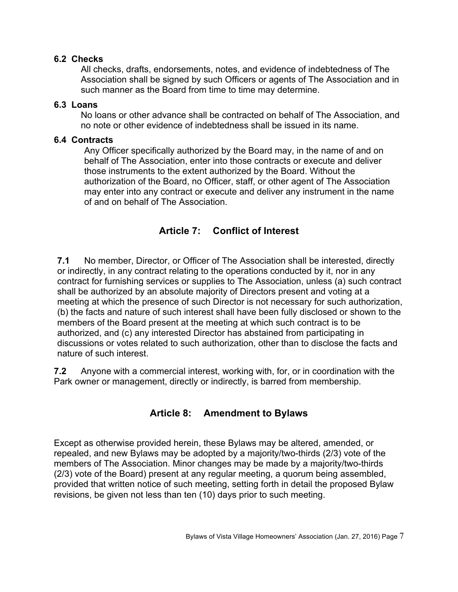### **6.2 Checks**

All checks, drafts, endorsements, notes, and evidence of indebtedness of The Association shall be signed by such Officers or agents of The Association and in such manner as the Board from time to time may determine.

#### **6.3 Loans**

No loans or other advance shall be contracted on behalf of The Association, and no note or other evidence of indebtedness shall be issued in its name.

### **6.4 Contracts**

Any Officer specifically authorized by the Board may, in the name of and on behalf of The Association, enter into those contracts or execute and deliver those instruments to the extent authorized by the Board. Without the authorization of the Board, no Officer, staff, or other agent of The Association may enter into any contract or execute and deliver any instrument in the name of and on behalf of The Association.

# **Article 7: Conflict of Interest**

**7.1** No member, Director, or Officer of The Association shall be interested, directly or indirectly, in any contract relating to the operations conducted by it, nor in any contract for furnishing services or supplies to The Association, unless (a) such contract shall be authorized by an absolute majority of Directors present and voting at a meeting at which the presence of such Director is not necessary for such authorization, (b) the facts and nature of such interest shall have been fully disclosed or shown to the members of the Board present at the meeting at which such contract is to be authorized, and (c) any interested Director has abstained from participating in discussions or votes related to such authorization, other than to disclose the facts and nature of such interest.

**7.2** Anyone with a commercial interest, working with, for, or in coordination with the Park owner or management, directly or indirectly, is barred from membership.

# **Article 8: Amendment to Bylaws**

Except as otherwise provided herein, these Bylaws may be altered, amended, or repealed, and new Bylaws may be adopted by a majority/two-thirds (2/3) vote of the members of The Association. Minor changes may be made by a majority/two-thirds (2/3) vote of the Board) present at any regular meeting, a quorum being assembled, provided that written notice of such meeting, setting forth in detail the proposed Bylaw revisions, be given not less than ten (10) days prior to such meeting.